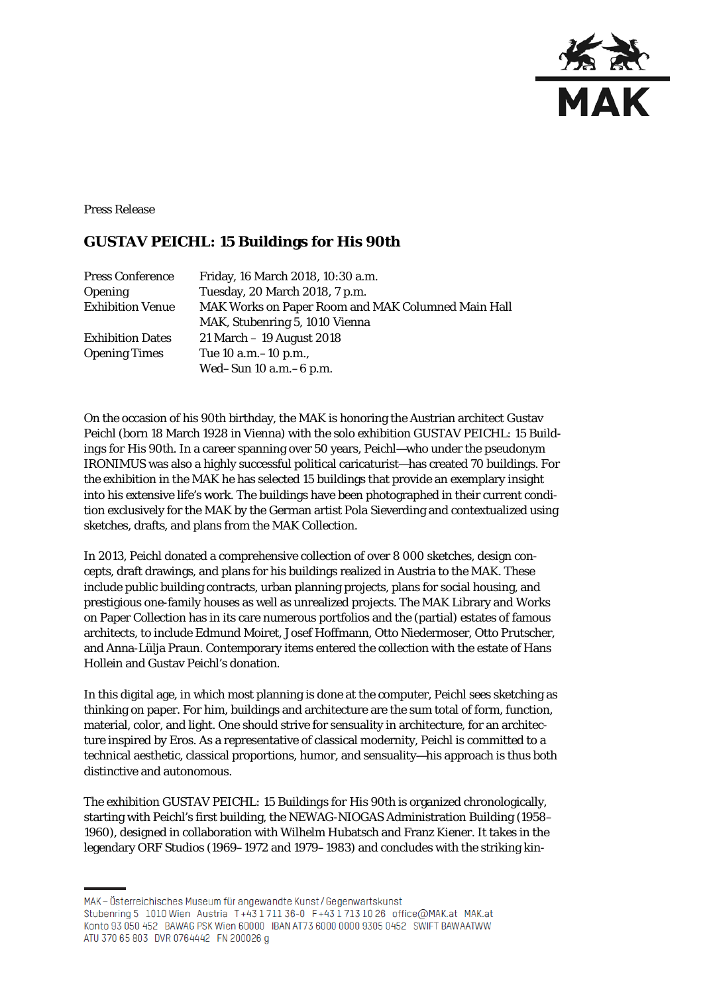

Press Release

# **GUSTAV PEICHL: 15 Buildings for His 90th**

| <b>Press Conference</b> | Friday, 16 March 2018, 10:30 a.m.                  |
|-------------------------|----------------------------------------------------|
| <b>Opening</b>          | Tuesday, 20 March 2018, 7 p.m.                     |
| <b>Exhibition Venue</b> | MAK Works on Paper Room and MAK Columned Main Hall |
|                         | MAK, Stubenring 5, 1010 Vienna                     |
| <b>Exhibition Dates</b> | $21$ March $-19$ August 2018                       |
| <b>Opening Times</b>    | Tue 10 a.m. -10 p.m.,                              |
|                         | Wed-Sun $10$ a.m. $-6$ p.m.                        |

On the occasion of his 90th birthday, the MAK is honoring the Austrian architect Gustav Peichl (born 18 March 1928 in Vienna) with the solo exhibition *GUSTAV PEICHL: 15 Buildings for His 90th*. In a career spanning over 50 years, Peichl—who under the pseudonym IRONIMUS was also a highly successful political caricaturist—has created 70 buildings. For the exhibition in the MAK he has selected 15 buildings that provide an exemplary insight into his extensive life's work. The buildings have been photographed in their current condition exclusively for the MAK by the German artist Pola Sieverding and contextualized using sketches, drafts, and plans from the MAK Collection.

In 2013, Peichl donated a comprehensive collection of over 8 000 sketches, design concepts, draft drawings, and plans for his buildings realized in Austria to the MAK. These include public building contracts, urban planning projects, plans for social housing, and prestigious one-family houses as well as unrealized projects. The MAK Library and Works on Paper Collection has in its care numerous portfolios and the (partial) estates of famous architects, to include Edmund Moiret, Josef Hoffmann, Otto Niedermoser, Otto Prutscher, and Anna-Lülja Praun. Contemporary items entered the collection with the estate of Hans Hollein and Gustav Peichl's donation.

In this digital age, in which most planning is done at the computer, Peichl sees sketching as thinking on paper. For him, buildings and architecture are the sum total of form, function, material, color, and light. One should strive for sensuality in architecture, for an architecture inspired by Eros. As a representative of classical modernity, Peichl is committed to a technical aesthetic, classical proportions, humor, and sensuality—his approach is thus both distinctive and autonomous.

The exhibition *GUSTAV PEICHL: 15 Buildings for His 90th* is organized chronologically, starting with Peichl's first building, the NEWAG-NIOGAS Administration Building (1958– 1960), designed in collaboration with Wilhelm Hubatsch and Franz Kiener. It takes in the legendary ORF Studios (1969–1972 and 1979–1983) and concludes with the striking kin-

MAK – Österreichisches Museum für angewandte Kunst/Gegenwartskunst

Stubenring 5 1010 Wien Austria T+43 1711 36-0 F+43 1713 10 26 office@MAK.at MAK.at Konto 93 050 452 BAWAG PSK Wien 60000 IBAN AT73 6000 0000 9305 0452 SWIFT BAWAATWW ATU 370 65 803 DVR 0764442 FN 200026 q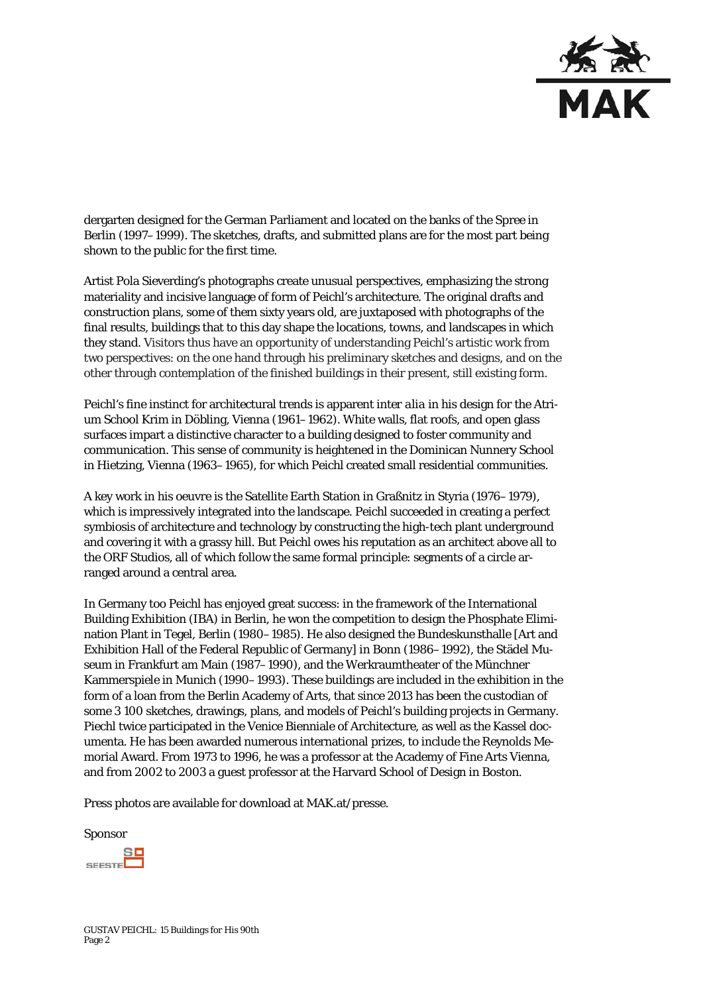

dergarten designed for the German Parliament and located on the banks of the Spree in Berlin (1997–1999). The sketches, drafts, and submitted plans are for the most part being shown to the public for the first time.

Artist Pola Sieverding's photographs create unusual perspectives, emphasizing the strong materiality and incisive language of form of Peichl's architecture. The original drafts and construction plans, some of them sixty years old, are juxtaposed with photographs of the final results, buildings that to this day shape the locations, towns, and landscapes in which they stand. Visitors thus have an opportunity of understanding Peichl's artistic work from two perspectives: on the one hand through his preliminary sketches and designs, and on the other through contemplation of the finished buildings in their present, still existing form.

Peichl's fine instinct for architectural trends is apparent *inter alia* in his design for the Atrium School Krim in Döbling, Vienna (1961–1962). White walls, flat roofs, and open glass surfaces impart a distinctive character to a building designed to foster community and communication. This sense of community is heightened in the Dominican Nunnery School in Hietzing, Vienna (1963–1965), for which Peichl created small residential communities.

A key work in his oeuvre is the Satellite Earth Station in Graßnitz in Styria (1976–1979), which is impressively integrated into the landscape. Peichl succeeded in creating a perfect symbiosis of architecture and technology by constructing the high-tech plant underground and covering it with a grassy hill. But Peichl owes his reputation as an architect above all to the ORF Studios, all of which follow the same formal principle: segments of a circle arranged around a central area.

In Germany too Peichl has enjoyed great success: in the framework of the International Building Exhibition (IBA) in Berlin, he won the competition to design the Phosphate Elimination Plant in Tegel, Berlin (1980–1985). He also designed the Bundeskunsthalle [Art and Exhibition Hall of the Federal Republic of Germany] in Bonn (1986–1992), the Städel Museum in Frankfurt am Main (1987–1990), and the Werkraumtheater of the Münchner Kammerspiele in Munich (1990–1993). These buildings are included in the exhibition in the form of a loan from the Berlin Academy of Arts, that since 2013 has been the custodian of some 3 100 sketches, drawings, plans, and models of Peichl's building projects in Germany. Piechl twice participated in the Venice Bienniale of Architecture, as well as the Kassel documenta. He has been awarded numerous international prizes, to include the Reynolds Memorial Award. From 1973 to 1996, he was a professor at the Academy of Fine Arts Vienna, and from 2002 to 2003 a guest professor at the Harvard School of Design in Boston.

Press photos are available for download at MAK.at/presse.

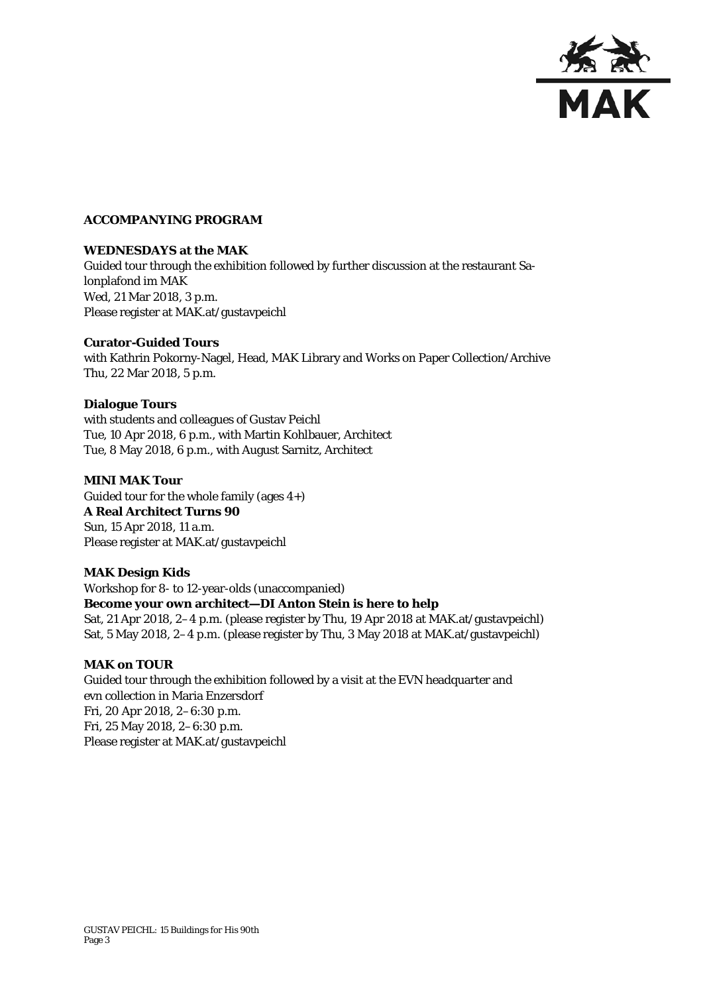

# **ACCOMPANYING PROGRAM**

# **WEDNESDAYS at the MAK**

Guided tour through the exhibition followed by further discussion at the restaurant Salonplafond im MAK Wed, 21 Mar 2018, 3 p.m. Please register at MAK.at/gustavpeichl

#### **Curator-Guided Tours**

with Kathrin Pokorny-Nagel, Head, MAK Library and Works on Paper Collection/Archive Thu, 22 Mar 2018, 5 p.m.

#### **Dialogue Tours**

with students and colleagues of Gustav Peichl Tue, 10 Apr 2018, 6 p.m., with Martin Kohlbauer, Architect Tue, 8 May 2018, 6 p.m., with August Sarnitz, Architect

#### **MINI MAK Tour**

Guided tour for the whole family (ages  $4+$ ) **A Real Architect Turns 90** Sun, 15 Apr 2018, 11 a.m. Please register at MAK.at/gustavpeichl

# **MAK Design Kids**

Workshop for 8- to 12-year-olds (unaccompanied) **Become your own architect—DI Anton Stein is here to help** Sat, 21 Apr 2018, 2–4 p.m. (please register by Thu, 19 Apr 2018 at MAK.at/gustavpeichl) Sat, 5 May 2018, 2–4 p.m. (please register by Thu, 3 May 2018 at MAK.at/gustavpeichl)

# **MAK on TOUR**

Guided tour through the exhibition followed by a visit at the EVN headquarter and evn collection in Maria Enzersdorf Fri, 20 Apr 2018, 2–6:30 p.m. Fri, 25 May 2018, 2–6:30 p.m. Please register at MAK.at/gustavpeichl